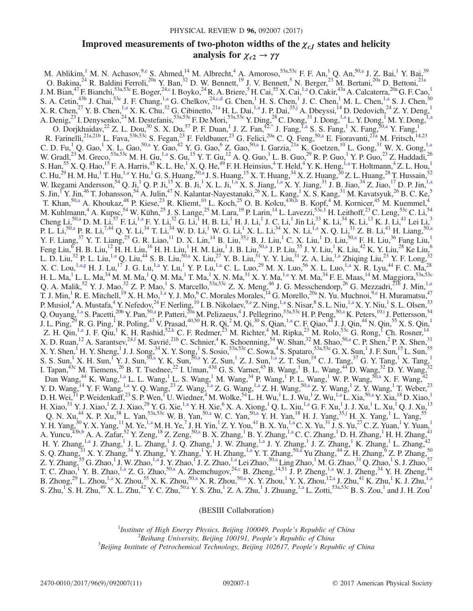# Improved measurements of two-photon widths of the  $\chi_{cJ}$  states and helicity analysis for  $\chi_{c2} \to \gamma \gamma$

<span id="page-0-6"></span><span id="page-0-4"></span><span id="page-0-0"></span>M. Ablikim,<sup>1</sup> M. N. Achasov,<sup>[9,e](#page-2-0)</sup> S. Ahmed,<sup>14</sup> M. Albrecht,<sup>4</sup> A. Amoroso,<sup>53a,53c</sup> F. F. An,<sup>1</sup> Q. An,<sup>5[0,a](#page-2-1)</sup> J. Z. Bai,<sup>1</sup> Y. Bai,<sup>39</sup> O. Bakina,  $^{24}$  R. Baldini Ferroli,  $^{20a}$  Y. Ban,  $^{32}$  D. W. Bennett,  $^{19}$  J. V. Bennett,  $^5$  N. Berger,  $^{23}$  M. Bertani,  $^{20a}$  D. Bettoni,  $^{21a}$ J. M. Bian,<sup>47</sup> F. Bianchi,<sup>53a,53c</sup> E. Boger,<sup>2[4,c](#page-2-2)</sup> I. Boyko,<sup>24</sup> R. A. Briere,<sup>5</sup> H. Cai,<sup>55</sup> X. Cai,<sup>[1,a](#page-2-1)</sup> O. Cakir,<sup>43a</sup> A. Calcaterra,<sup>20a</sup> G. F. Cao,<sup>1</sup> S. A. Cetin,<sup>43b</sup> J. Chai,<sup>53c</sup> J. F. Chang,<sup>[1,a](#page-2-1)</sup> G. Chelkov,<sup>2[4,c,d](#page-2-2)</sup> G. Chen,<sup>1</sup> H. S. Chen,<sup>1</sup> J. C. Chen,<sup>1</sup> M. L. Chen,<sup>1[,a](#page-2-1)</sup> S. J. Chen,<sup>30</sup> X. R. Chen,<sup>27</sup> Y. B. Chen,<sup>1[,a](#page-2-1)</sup> X. K. Chu,<sup>32</sup> G. Cibinetto,<sup>21a</sup> H. L. Dai,<sup>1,a</sup> J. P. Dai,<sup>35[,j](#page-2-3)</sup> A. Dbeyssi,<sup>14</sup> D. Dedovich,<sup>24</sup> Z. Y. Deng,<sup>1</sup> A. Denig,<sup>23</sup> I. Denysenko,<sup>24</sup> M. Destefanis,<sup>53a,53c</sup> F. De Mori,<sup>53a,53c</sup> Y. Ding,<sup>28</sup> C. Dong,<sup>31</sup> J. Dong,<sup>1[,a](#page-2-1)</sup> L. Y. Dong,<sup>1</sup> M. Y. Dong,<sup>[1,a](#page-2-1)</sup> O. Dorjkhaidav,<sup>22</sup> Z. L. Dou,<sup>30</sup> S. X. Du,<sup>57</sup> P. F. Duan,<sup>1</sup> J. Z. Fan,<sup>42[,\\*](#page-2-4)</sup> J. Fang,<sup>I,a</sup> S. S. Fang,<sup>1</sup> X. Fang,<sup>5[0,a](#page-2-1)</sup> Y. Fang,<sup>1</sup> R. Farinelli,<sup>21a,21b</sup> L. Fava,<sup>53b,53c</sup> S. Fegan,<sup>23</sup> F. Feldbauer,<sup>23</sup> G. Felici,<sup>20a</sup> C. Q. Feng,<sup>5[0,a](#page-2-1)</sup> E. Fioravanti,<sup>21a</sup> M. Fritsch,<sup>14,23</sup> C. D. Fu,<sup>1</sup> Q. Gao,<sup>1</sup> X. L. Gao,<sup>5[0,a](#page-2-1)</sup> Y. Gao,<sup>42</sup> Y. G. Gao,<sup>6</sup> Z. Gao,<sup>50[,a](#page-2-1)</sup> I. Garzia,<sup>21a</sup> K. Goetzen,<sup>10</sup> L. Gong,<sup>31</sup> W. X. Gong,<sup>1,a</sup> W. Gradl,<sup>23</sup> M. Greco,<sup>53a,53c</sup> M. H. Gu,<sup>1[,a](#page-2-1)</sup> S. Gu,<sup>15</sup> Y. T. Gu,<sup>12</sup> A. Q. Guo,<sup>1</sup> L. B. Guo,<sup>29</sup> R. P. Guo,<sup>1</sup> Y. P. Guo,<sup>23</sup> Z. Haddadi,<sup>26</sup> S. Han,  $^{55}$  X. Q. Hao,  $^{15}$  F. A. Harris,  $^{45}$  K. L. He,  $^{1}$  X. Q. He,  $^{49}$  F. H. Heinsius,  $^{4}$  T. Held,  $^{4}$  Y. K. Heng,  $^{1,a}$  $^{1,a}$  $^{1,a}$  T. Holtmann,  $^{4}$  Z. L. Hou,  $^{1}$ C. Hu,<sup>29</sup> H. M. Hu,<sup>1</sup> T. Hu,<sup>1[,a](#page-2-1)</sup> Y. Hu,<sup>1</sup> G. S. Huang,<sup>50,a</sup> J. S. Huang,<sup>15</sup> X. T. Huang,<sup>34</sup> X. Z. Huang,<sup>30</sup> Z. L. Huang,<sup>28</sup> T. Hussain,<sup>52</sup> W. Ikegami Andersson,<sup>54</sup> Q. Ji,<sup>1</sup> Q. P. Ji,<sup>15</sup> X. B. Ji,<sup>1</sup> X. L. Ji,<sup>[1,a](#page-2-1)</sup> X. S. Jiang,<sup>1,a</sup> X. Y. Jiang,<sup>31</sup> J. B. Jiao,<sup>34</sup> Z. Jiao,<sup>17</sup> D. P. Jin,<sup>1,a</sup> S. Jin,<sup>1</sup> Y. Jin,<sup>46</sup> T. Johansson,<sup>54</sup> A. Julin,<sup>47</sup> N. Kalantar-Nayestanaki,<sup>26</sup> X. L. Kang,<sup>1</sup> X. S. Kang,<sup>31</sup> M. Kavatsyuk,<sup>26</sup> B. C. Ke,<sup>5</sup> T. Khan,<sup>50[,a](#page-2-1)</sup> A. Khoukaz,<sup>48</sup> P. Kiese,<sup>23</sup> R. Kliemt,<sup>10</sup> L. Koch,<sup>25</sup> O. B. Kolcu,<sup>43b[,h](#page-2-5)</sup> B. Kopf,<sup>4</sup> M. Kornicer,<sup>45</sup> M. Kuemmel,<sup>4</sup> M. Kuhlmann,<sup>4</sup> A. Kupsc,<sup>54</sup> W. Kühn,<sup>25</sup> J. S. Lange,<sup>25</sup> M. Lara,<sup>19</sup> P. Larin,<sup>14</sup> L. Lavezzi,<sup>53c,1</sup> H. Leithoff,<sup>23</sup> C. Leng,<sup>53c</sup> C. Li,<sup>54</sup> Cheng Li,<sup>5[0,a](#page-2-1)</sup> D. M. Li,<sup>57</sup> F. Li,<sup>[1,a](#page-2-1)</sup> F. Y. Li,<sup>32</sup> G. Li,<sup>1</sup> H. B. Li,<sup>1</sup> H. J. Li,<sup>1</sup> J. C. Li,<sup>1</sup> Jin Li,<sup>33</sup> K. Li,<sup>34</sup> K. Li,<sup>13</sup> K. J. Li,<sup>41</sup> Lei Li,<sup>3</sup> P. L. Li,<sup>50[,a](#page-2-1)</sup> P. R. Li,<sup>7,44</sup> Q. Y. Li,<sup>34</sup> T. Li,<sup>34</sup> W. D. Li,<sup>1</sup> W. G. Li,<sup>1</sup> X. L. Li,<sup>34</sup> X. N. Li,<sup>[1,a](#page-2-1)</sup> X. Q. Li,<sup>31</sup> Z. B. Li,<sup>41</sup> H. Liang,<sup>5[0,a](#page-2-1)</sup> Y. F. Liang,  $^{37}$  Y. T. Liang,  $^{25}$  G. R. Liao,  $^{11}$  D. X. Lin,  $^{14}$  B. Liu,  $^{35,j}$  $^{35,j}$  $^{35,j}$  B. J. Liu, C. X. Liu, <sup>1</sup> D. Liu,  $^{50,a}$  $^{50,a}$  $^{50,a}$  F. H. Liu,  $^{36}$  Fang Liu,  $^{1}$  $\rm{Feng~ Liu}, \rm ^6H.~B.~Lin, \rm ^{12}H.~H.~Lin, \rm ^{16}H.~H.~Lin, \rm ^1H.~M.~Lin, \rm ^1J.~B.~Liu, \rm ^{50,a}~J.~P.~Liu, \rm ^{55}~J.~Y.~Liu, \rm ^{1}K.~Lin, \rm ^{42}~K.~Y.~Liu, \rm ^{28}~Ke~Lin, \rm ^{61}~K.$  $\rm{Feng~ Liu}, \rm ^6H.~B.~Lin, \rm ^{12}H.~H.~Lin, \rm ^{16}H.~H.~Lin, \rm ^1H.~M.~Lin, \rm ^1J.~B.~Liu, \rm ^{50,a}~J.~P.~Liu, \rm ^{55}~J.~Y.~Liu, \rm ^{1}K.~Lin, \rm ^{42}~K.~Y.~Liu, \rm ^{28}~Ke~Lin, \rm ^{61}~K.$  $\rm{Feng~ Liu}, \rm ^6H.~B.~Lin, \rm ^{12}H.~H.~Lin, \rm ^{16}H.~H.~Lin, \rm ^1H.~M.~Lin, \rm ^1J.~B.~Liu, \rm ^{50,a}~J.~P.~Liu, \rm ^{55}~J.~Y.~Liu, \rm ^{1}K.~Lin, \rm ^{42}~K.~Y.~Liu, \rm ^{28}~Ke~Lin, \rm ^{61}~K.$ L. D. Liu,<sup>32</sup> P. L. Liu,<sup>[1,a](#page-2-1)</sup> Q. Liu,<sup>44</sup> S. B. Liu,<sup>50[,a](#page-2-1)</sup> X. Liu,<sup>27</sup> Y. B. Liu,<sup>31</sup> Y. Y. Liu,<sup>31</sup> Z. A. Liu,<sup>1,a</sup> Zhiqing Liu,<sup>23</sup> Y. F. Long,<sup>32</sup> X. C. Lou, $^{1, a, g}$  H. J. Lu, $^{17}$  J. G. Lu, $^{1, a}$  Y. Lu, $^{1}$  Y. P. Lu, $^{1, a}$  C. L. Luo, $^{29}$  M. X. Luo, $^{56}$  X. L. Luo, $^{1, a}$  X. R. Lyu, $^{44}$  F. C. Ma, $^{28}$ H. L. Ma, $^1$  L. L. Ma, $^{34}$  M. M. Ma, $^1$  Q. M. Ma, $^1$  T. Ma, $^1$  X. N. Ma, $^{31}$  X. Y. Ma, $^{1, a}$  Y. M. Ma, $^{34}$  F. E. Maas, $^{14}$  M. Maggiora, $^{53a,53c}$ Q. A. Malik,<sup>52</sup> Y. J. Mao,<sup>32</sup> Z. P. Mao,<sup>1</sup> S. Marcello,<sup>53a,53c</sup> Z. X. Meng,<sup>46</sup> J. G. Messchendorp,<sup>26</sup> G. Mezzadri,<sup>215</sup> J. Min,<sup>1[,a](#page-2-1)</sup> T. J. Min,<sup>1</sup> R. E. Mitchell,<sup>19</sup> X. H. Mo,<sup>1[,a](#page-2-1)</sup> Y. J. Mo,<sup>6</sup> C. Morales Morales,<sup>14</sup> G. Morello,<sup>20a</sup> N. Yu. Muchnoi,<sup>[9,e](#page-2-0)</sup> H. Muramatsu,<sup>47</sup> P. Musiol,<sup>4</sup> A. Mustafa,<sup>4</sup> Y. Nefedov,<sup>24</sup> F. Nerling,<sup>10</sup> I. B. Nikolaev,<sup>[9,e](#page-2-0)</sup> Z. Ning,<sup>[1,a](#page-2-1)</sup> S. Nisar,<sup>8</sup> S. L. Niu,<sup>1[,a](#page-2-1)</sup> X. Y. Niu,<sup>1</sup> S. L. Olsen,<sup>33</sup> Q. Ouyang,<sup>1[,a](#page-2-1)</sup> S. Pacetti,<sup>20b</sup> Y. Pan,<sup>5[0,a](#page-2-1)</sup> P. Patteri,<sup>20a</sup> M. Pelizaeus,<sup>4</sup> J. Pellegrino,<sup>53a,53c</sup> H. P. Peng,<sup>50,a</sup> K. Peters,<sup>10[,i](#page-2-6)</sup> J. Pettersson,<sup>54</sup> J. L. Ping,<sup>29</sup> R. G. Ping,<sup>1</sup> R. Poling,<sup>47</sup> V. Prasad,<sup>40,50</sup> H. R. Qi,<sup>2</sup> M. Qi,<sup>30</sup> S. Qian,<sup>1[,a](#page-2-1)</sup> C. F. Qiao,<sup>44</sup> J. J. Qin,<sup>44</sup> N. Qin,<sup>55</sup> X. S. Qin,<sup>1</sup> Z. H. Qin,<sup>[1,a](#page-2-1)</sup> J. F. Qiu,<sup>1</sup> K. H. Rashid,<sup>52[,k](#page-2-7)</sup> C. F. Redmer,<sup>23</sup> M. Richter,<sup>4</sup> M. Ripka,<sup>23</sup> M. Rolo,<sup>53c</sup> G. Rong,<sup>1</sup> Ch. Rosner,<sup>14</sup> X. D. Ruan,<sup>12</sup> A. Sarantsev,<sup>24[,f](#page-2-8)</sup> M. Savrié,<sup>21b</sup> C. Schnier,<sup>4</sup> K. Schoenning,<sup>54</sup> W. Shan,<sup>32</sup> M. Shao,<sup>50[,a](#page-2-1)</sup> C. P. Shen,<sup>2</sup> P. X. Shen,<sup>31</sup> X. Y. Shen,<sup>1</sup> H. Y. Sheng,<sup>1</sup> J. J. Song,<sup>34</sup> X. Y. Song,<sup>1</sup> S. Sosio,<sup>53a,53c</sup> C. Sowa,<sup>4</sup> S. Spataro,<sup>53a,53c</sup> G. X. Sun,<sup>1</sup> J. F. Sun,<sup>15</sup> L. Sun,<sup>55</sup> S. S. Sun,<sup>1</sup> X. H. Sun,<sup>1</sup> Y. J. Sun,<sup>50[,a](#page-2-1)</sup> Y. K. Sun,<sup>5[0,a](#page-2-1)</sup> Y. Z. Sun,<sup>1</sup> Z. J. Sun,<sup>1,a</sup> Z. T. Sun,<sup>19</sup> C. J. Tang,<sup>37</sup> G. Y. Tang,<sup>1</sup> X. Tang,<sup>1</sup> I. Tapan,<sup>43c</sup> M. Tiemens,<sup>26</sup> B. T. Tsednee,<sup>22</sup> I. Uman,<sup>43d</sup> G. S. Varner,<sup>45</sup> B. Wang,<sup>1</sup> B. L. Wang,<sup>44</sup> D. Wang,<sup>32</sup> D. Y. Wang,<sup>32</sup> Dan Wang,<sup>44</sup> K. Wang,<sup>[1,a](#page-2-1)</sup> L. L. Wang,<sup>1</sup> L. S. Wang,<sup>1</sup> M. Wang,<sup>34</sup> P. Wang,<sup>1</sup> P. L. Wang,<sup>1</sup> W. P. Wang,<sup>50[,a](#page-2-1)</sup> X. F. Wang,<sup>42</sup> Y. D. Wang,<sup>14</sup> Y. F. Wang,<sup>1[,a](#page-2-1)</sup> Y. Q. Wang,<sup>23</sup> Z. Wang,<sup>[1,a](#page-2-1)</sup> Z. G. Wang,<sup>1,a</sup> Z. H. Wang,<sup>50,a</sup> Z. Y. Wang,<sup>1</sup> Z. Y. Wang,<sup>1</sup> T. Weber,<sup>23</sup> D. H. Wei,  $^{11}$  P. Weidenkaff,  $^{23}$  S. P. Wen,  $^{1}$ U. Wiedner,  $^{4}$  M. Wolke,  $^{54}$  L. H. Wu,  $^{1}$  L. J. Wu,  $^{1}$  Z. Wu,  $^{1, a}$  L. Xia,  $^{50, a}$  Y. Xia,  $^{18}$  D. Xiao,  $^{1}$ H. Xiao,<sup>51</sup> Y. J. Xiao,<sup>1</sup> Z. J. Xiao,<sup>29</sup> Y. G. Xie,<sup>1[,a](#page-2-1)</sup> Y. H. Xie,<sup>6</sup> X. A. Xiong,<sup>1</sup> Q. L. Xiu,<sup>[1,a](#page-2-1)</sup> G. F. Xu,<sup>1</sup> J. J. Xu,<sup>1</sup> L. Xu,<sup>1</sup> Q. J. Xu,<sup>13</sup> Q. N. Xu,<sup>44</sup> X. P. Xu,<sup>38</sup> L. Yan,<sup>53a,53c</sup> W. B. Yan,<sup>5[0,a](#page-2-1)</sup> W. C. Yan,<sup>50,a</sup> Y. H. Yan,<sup>18</sup> H. J. Yang,<sup>35[,j](#page-2-3)</sup> H. X. Yang,<sup>1</sup> L. Yang,<sup>55</sup> Y. H. Yang,<sup>30</sup> Y. X. Yang,<sup>11</sup> M. Ye,<sup>[1,a](#page-2-1)</sup> M. H. Ye,<sup>7</sup> J. H. Yin,<sup>1</sup> Z. Y. You,<sup>41</sup> B. X. Yu,<sup>1[,a](#page-2-1)</sup> C. X. Yu,<sup>31</sup> J. S. Yu,<sup>27</sup> C. Z. Yuan,<sup>1</sup> Y. Yuan,<sup>1</sup> A. Yuncu,  $^{43b,b}$  $^{43b,b}$  $^{43b,b}$  A. A. Zafar,  $^{52}$  Y. Zeng,  $^{18}$  Z. Zeng,  $^{50,a}$  $^{50,a}$  $^{50,a}$  B. X. Zhang,  $^{1}$  B. Y. Zhang,  $^{1,a}$  $^{1,a}$  $^{1,a}$  C. C. Zhang,  $^{1}$  D. H. Zhang,  $^{1}$  H. H. Zhang,  $^{41}$ H. Y. Zhang,<sup>[1,a](#page-2-1)</sup> J. Zhang,<sup>1</sup> J. L. Zhang,<sup>1</sup> J. Q. Zhang,<sup>1</sup> J. W. Zhang,<sup>1,a</sup> J. Y. Zhang,<sup>1</sup> J. Z. Zhang,<sup>1</sup> K. Zhang,<sup>1</sup> L. Zhang,<sup>42</sup> S. Q. Zhang,  $31$  X. Y. Zhang,  $34$  Y. Zhang, $1$  Y. Zhang, $1$  Y. H. Zhang, $1,4$  Y. T. Zhang, $50,4$  Yu Zhang, $44$  Z. H. Zhang,  $6$  Z. P. Zhang,  $50$ Z. Y. Zhang,  ${}^{55}$  G. Zhao,<sup>1</sup> J. W. Zhao,<sup>[1,a](#page-2-1)</sup> J. Y. Zhao,<sup>1</sup> J. Z. Zhao,<sup>1[,a](#page-2-1)</sup> Lei Zhao,<sup>50,a</sup> Ling Zhao,<sup>1</sup> M. G. Zhao,<sup>31</sup> Q. Zhao,<sup>1</sup> S. J. Zhao,<sup>57</sup> T. C. Zhao,<sup>1</sup> Y. B. Zhao,<sup>[1,a](#page-2-1)</sup> Z. G. Zhao,<sup>5[0,a](#page-2-1)</sup> A. Zhemchugov,<sup>24[,c](#page-2-2)</sup> B. Zheng,<sup>14,51</sup> J. P. Zheng,<sup>1,a</sup> W. J. Zheng,<sup>34</sup> Y. H. Zheng,<sup>44</sup> B. Zhong,<sup>29</sup> L. Zhou,<sup>1[,a](#page-2-1)</sup> X. Zhou,<sup>55</sup> X. K. Zhou,<sup>5[0,a](#page-2-1)</sup> X. R. Zhou,<sup>50,a</sup> X. Y. Zhou,<sup>1</sup> Y. X. Zhou,<sup>1[2,a](#page-2-1)</sup> J. Zhu,<sup>41</sup> K. Zhu,<sup>1</sup> K. J. Zhu,<sup>[1,a](#page-2-1)</sup> S. Zhu,<sup>1</sup> S. H. Zhu,<sup>49</sup> X. L. Zhu,<sup>42</sup> Y. C. Zhu,<sup>5[0,a](#page-2-1)</sup> Y. S. Zhu,<sup>1</sup> Z. A. Zhu,<sup>1</sup> J. Zhuang,<sup>[1,a](#page-2-1)</sup> L. Zotti,<sup>53a,53c</sup> B. S. Zou,<sup>1</sup> and J. H. Zou<sup>1</sup>

## (BESIII Collaboration)

<span id="page-0-9"></span><span id="page-0-8"></span><span id="page-0-7"></span><span id="page-0-5"></span><span id="page-0-3"></span><span id="page-0-2"></span><span id="page-0-1"></span><sup>1</sup>Institute of High Energy Physics, Beijing 100049, People's Republic of China  $\frac{2 \text{Poibang University}}{2}$  $^2$ Beihang University, Beijing 100191, People's Republic of China  $3$ Beijing Institute of Petrochemical Technology, Beijing 102617, People's Republic of China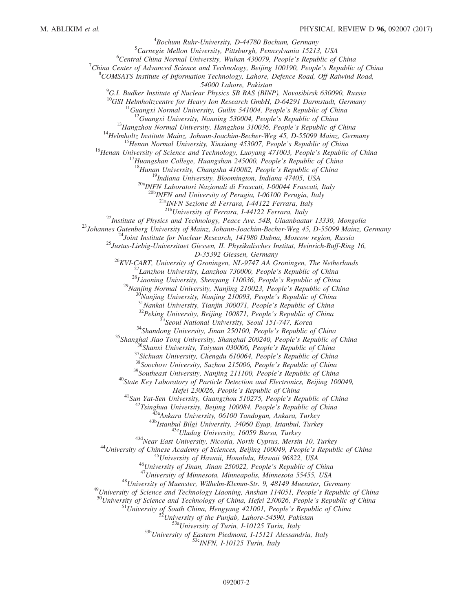<sup>4</sup> Bochum Ruhr-University, D-44780 Bochum, Germany<br><sup>5</sup> Carnagia Mallon University, Bittsburgh Bannayhyania 15213

<sup>5</sup>Carnegie Mellon University, Pittsburgh, Pennsylvania 15213, USA

 ${}^{6}$ Central China Normal University, Wuhan 430079, People's Republic of China

<sup>7</sup>China Center of Advanced Science and Technology, Beijing 100190, People's Republic of China

 $8$ COMSATS Institute of Information Technology, Lahore, Defence Road, Off Raiwind Road,

54000 Lahore, Pakistan<br><sup>9</sup>G.I. Budker Institute of Nuclear Physics SB RAS (BINP), Novosibirsk 630090, Russia

<sup>10</sup>GSI Helmholtzcentre for Heavy Ion Research GmbH, D-64291 Darmstadt, Germany<br><sup>11</sup>Guangxi Normal University, Guilin 541004, People's Republic of China<br><sup>12</sup>Guangxi University, Nanning 530004, People's Republic of China<br><sup></sup>

 $^{20a}$ INFN Laboratori Nazionali di Frascati, I-00044 Frascati, Italy<br> $^{20b}$ INFN and University of Perugia, I-06100 Perugia, Italy

 $^{21a}$ INFN Sezione di Ferrara, I-44122 Ferrara, Italy<br> $^{21b}$ University of Ferrara, I-44122 Ferrara, Italy

<sup>22</sup>Institute of Physics and Technology, Peace Ave. 54B, Ulaanbaatar 13330, Mongolia<br><sup>23</sup>Johannes Gutenberg University of Mainz, Johann-Joachim-Becher-Weg 45, D-55099 Mainz, Germany<br><sup>24</sup>Joint Institute for Nuclear Researc

 $D-35392$  Giessen, Germany<br>  $D-35392$  Giessen, Germany<br>  $^{26}KVI$ -CART, University of Groningen, NL-9747 AA Groningen, The Netherlands<br>  $^{27}Lianzhou University$ , Lanzhou 730000, People's Republic of China<br>  $^{28}Liaoning University$ , Nanjing Niversity

*Hefei 230026, People's Republic of China*<br>
<sup>41</sup>Sun Yat-Sen University, Guangzhou 510275, People's Republic of China<br>
<sup>42</sup>Tsinghua University, Beijing 100084, People's Republic of China<br>
<sup>43</sup>Tsinghua University, Beijing 1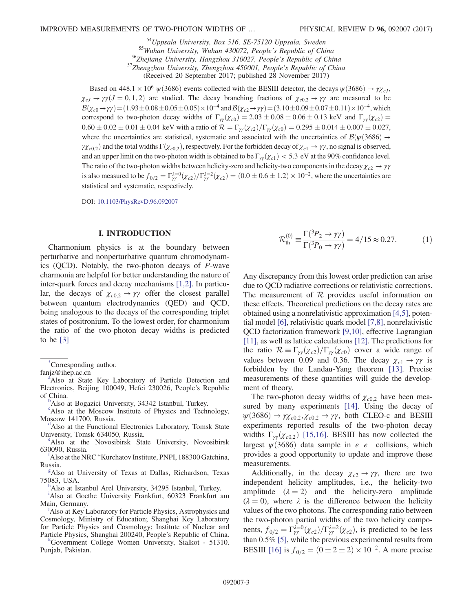$^{54}U$ ppsala University, Box 516, SE-75120 Uppsala, Sweden<br> $^{55}W$ uhan University, Wuhan 430072, People's Republic of China<br> $^{56}Z$ hejiang University, Hangzhou 310027, People's Republic of China<br> $^{57}Z$ hengzhou Universit (Received 20 September 2017; published 28 November 2017)

Based on 448.1 × 10<sup>6</sup>  $\psi$ (3686) events collected with the BESIII detector, the decays  $\psi$ (3686)  $\rightarrow \gamma \chi_{cJ}$ ,  $\chi_{cJ} \to \gamma \gamma (J = 0, 1, 2)$  are studied. The decay branching fractions of  $\chi_{c0,2} \to \gamma \gamma$  are measured to be  $\mathcal{B}(\chi_{c0} \to \gamma \gamma) = (1.93 \pm 0.08 \pm 0.05 \pm 0.05) \times 10^{-4}$  and  $\mathcal{B}(\chi_{c2} \to \gamma \gamma) = (3.10 \pm 0.09 \pm 0.07 \pm 0.11) \times 10^{-4}$ , which correspond to two-photon decay widths of  $\Gamma_{\gamma\gamma}(\chi_{c0}) = 2.03 \pm 0.08 \pm 0.06 \pm 0.13$  keV and  $\Gamma_{\gamma\gamma}(\chi_{c2}) =$  $0.60 \pm 0.02 \pm 0.01 \pm 0.04$  keV with a ratio of  $\mathcal{R} = \Gamma_{\gamma\gamma}(\chi_{c2})/\Gamma_{\gamma\gamma}(\chi_{c0}) = 0.295 \pm 0.014 \pm 0.007 \pm 0.027$ , where the uncertainties are statistical, systematic and associated with the uncertainties of  $\mathcal{B}(\psi(3686) \rightarrow$  $\gamma \chi_{c0,2}$ ) and the total widths  $\Gamma(\chi_{c0,2})$ , respectively. For the forbidden decay of  $\chi_{c1} \to \gamma \gamma$ , no signal is observed, and an upper limit on the two-photon width is obtained to be  $\Gamma_{\gamma}/(\chi_{c1}) < 5.3$  eV at the 90% confidence level. The ratio of the two-photon widths between helicity-zero and helicity-two components in the decay  $\chi_{c2} \to \gamma \gamma$ is also measured to be  $f_{0/2} = \Gamma_{\gamma\gamma}^{\lambda=0} (\chi_{c2})/\Gamma_{\gamma\gamma}^{\lambda=2} (\chi_{c2}) = (0.0 \pm 0.6 \pm 1.2) \times 10^{-2}$ , where the uncertainties are statistical and systematic, respectively.

DOI: [10.1103/PhysRevD.96.092007](https://doi.org/10.1103/PhysRevD.96.092007)

### I. INTRODUCTION

Charmonium physics is at the boundary between perturbative and nonperturbative quantum chromodynamics (QCD). Notably, the two-photon decays of P-wave charmonia are helpful for better understanding the nature of inter-quark forces and decay mechanisms [\[1,2\].](#page-10-0) In particular, the decays of  $\chi_{c0,2} \to \gamma \gamma$  offer the closest parallel between quantum electrodynamics (QED) and QCD, being analogous to the decays of the corresponding triplet states of positronium. To the lowest order, for charmonium the ratio of the two-photon decay widths is predicted to be [\[3\]](#page-10-1)

<span id="page-2-4"></span>[\\*](#page-0-0) Corresponding author.

Also at Bogazici University, 34342 Istanbul, Turkey.

<span id="page-2-9"></span><span id="page-2-2"></span><sup>[c](#page-0-3)</sup>Also at the Moscow Institute of Physics and Technology, Moscow 141700, Russia.

<sup>d</sup>Also at the Functional Electronics Laboratory, Tomsk State Univ[e](#page-0-4)rsity, Tomsk 634050, Russia.

<span id="page-2-0"></span>Also at the Novosibirsk State University, Novosibirsk 630090, Russia.

<span id="page-2-8"></span>Also at the NRC "Kurchatov Institute, PNPI, 188300 Gatchina, Russia.

Also at University of Texas at Dallas, Richardson, Texas 75083, USA. [h](#page-0-6)

<span id="page-2-5"></span><sup>1</sup>Also at Istanbul Arel University, 34295 Istanbul, Turkey.

<span id="page-2-6"></span>[i](#page-0-7) Also at Goethe University Frankfurt, 60323 Frankfurt am Main, Germany.

<span id="page-2-3"></span>Also at Key Laboratory for Particle Physics, Astrophysics and Cosmology, Ministry of Education; Shanghai Key Laboratory for Particle Physics and Cosmology; Institute of Nuclear and Particle Physics, Shanghai 200240, People's Republic of China. [k](#page-0-9)

<span id="page-2-7"></span>Government College Women University, Sialkot - 51310. Punjab, Pakistan.

$$
\mathcal{R}_{\text{th}}^{(0)} \equiv \frac{\Gamma(\frac{3P_2 \rightarrow \gamma \gamma}{\Gamma(\frac{3P_0 \rightarrow \gamma \gamma}{\gamma})} = 4/15 \approx 0.27. \tag{1}
$$

Any discrepancy from this lowest order prediction can arise due to QCD radiative corrections or relativistic corrections. The measurement of  $R$  provides useful information on these effects. Theoretical predictions on the decay rates are obtained using a nonrelativistic approximation [\[4,5\],](#page-10-2) potential model [\[6\],](#page-10-3) relativistic quark model [\[7,8\]](#page-10-4), nonrelativistic QCD factorization framework [\[9,10\],](#page-10-5) effective Lagrangian [\[11\]](#page-10-6), as well as lattice calculations [\[12\]](#page-10-7). The predictions for the ratio  $\mathcal{R} \equiv \Gamma_{\gamma\gamma}(\chi_{c2})/\Gamma_{\gamma\gamma}(\chi_{c0})$  cover a wide range of values between 0.09 and 0.36. The decay  $\chi_{c1} \rightarrow \gamma \gamma$  is forbidden by the Landau-Yang theorem [\[13\].](#page-10-8) Precise measurements of these quantities will guide the development of theory.

The two-photon decay widths of  $\chi_{c0,2}$  have been measured by many experiments [\[14\].](#page-10-9) Using the decay of  $\psi$ (3686)  $\rightarrow \gamma \chi_{c0,2}, \chi_{c0,2} \rightarrow \gamma \gamma$ , both CLEO-c and BESIII experiments reported results of the two-photon decay widths  $\Gamma_{\gamma\gamma}(\chi_{c0,2})$  [\[15,16\].](#page-10-10) BESIII has now collected the largest  $\psi$ (3686) data sample in  $e^+e^-$  collisions, which provides a good opportunity to update and improve these measurements.

Additionally, in the decay  $\chi_{c2} \to \gamma \gamma$ , there are two independent helicity amplitudes, i.e., the helicity-two amplitude  $(\lambda = 2)$  and the helicity-zero amplitude  $(\lambda = 0)$ , where  $\lambda$  is the difference between the helicity values of the two photons. The corresponding ratio between the two-photon partial widths of the two helicity components,  $f_{0/2} = \Gamma_{\gamma\gamma}^{\lambda=0} (\chi_{c2})/\Gamma_{\gamma\gamma}^{\lambda=2} (\chi_{c2})$ , is predicted to be less than 0.5% [\[5\]](#page-10-11), while the previous experimental results from BESIII [\[16\]](#page-10-12) is  $f_{0/2} = (0 \pm 2 \pm 2) \times 10^{-2}$ . A more precise

 $faniz@ihep.ac.cn$  $faniz@ihep.ac.cn$  $faniz@ihep.ac.cn$ 

<span id="page-2-1"></span>Also at State Key Laboratory of Particle Detection and Electronics, Beijing 100049, Hefei 230026, People's Republic of China.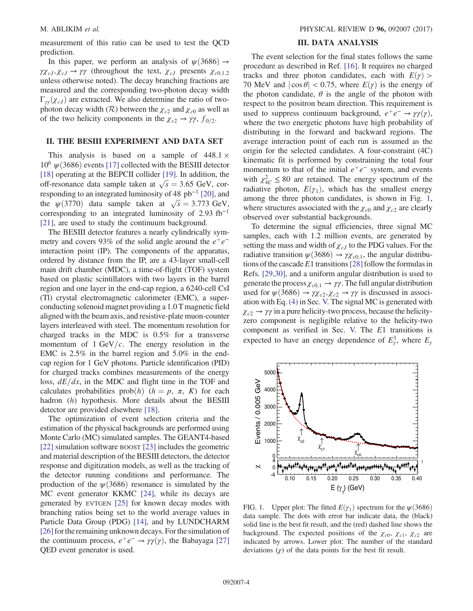measurement of this ratio can be used to test the QCD prediction.

In this paper, we perform an analysis of  $\psi(3686) \rightarrow$  $\gamma \chi_{cJ}, \chi_{cJ} \to \gamma \gamma$  (throughout the text,  $\chi_{cJ}$  presents  $\chi_{c0,1,2}$ unless otherwise noted). The decay branching fractions are measured and the corresponding two-photon decay width  $\Gamma_{\gamma\gamma}(\chi_{cJ})$  are extracted. We also determine the ratio of twophoton decay width ( $\mathcal{R}$ ) between the  $\chi_{c2}$  and  $\chi_{c0}$  as well as of the two helicity components in the  $\chi_{c2} \to \gamma \gamma$ ,  $f_{0/2}$ .

### II. THE BESIII EXPERIMENT AND DATA SET

This analysis is based on a sample of  $448.1 \times$  $10^6 \psi(3686)$  events [\[17\]](#page-10-13) collected with the BESIII detector [\[18\]](#page-10-14) operating at the BEPCII collider [\[19\].](#page-10-15) In addition, the off-resonance data sample taken at  $\sqrt{s}$  = 3.65 GeV, cor-responding to an integrated luminosity of 48 pb<sup>-1</sup> [\[20\]](#page-10-16), and the  $\psi(3770)$  data sample taken at  $\sqrt{s} = 3.773$  GeV, corresponding to an integrated luminosity of 2.93  $fb^{-1}$ [\[21\]](#page-10-17), are used to study the continuum background.

The BESIII detector features a nearly cylindrically symmetry and covers 93% of the solid angle around the  $e^+e^$ interaction point (IP). The components of the apparatus, ordered by distance from the IP, are a 43-layer small-cell main drift chamber (MDC), a time-of-flight (TOF) system based on plastic scintillators with two layers in the barrel region and one layer in the end-cap region, a 6240-cell CsI (Tl) crystal electromagnetic calorimeter (EMC), a superconducting solenoid magnet providing a 1.0 T magnetic field aligned with the beam axis, and resistive-plate muon-counter layers interleaved with steel. The momentum resolution for charged tracks in the MDC is 0.5% for a transverse momentum of 1 GeV/ $c$ . The energy resolution in the EMC is 2.5% in the barrel region and 5.0% in the endcap region for 1 GeV photons. Particle identification (PID) for charged tracks combines measurements of the energy loss,  $dE/dx$ , in the MDC and flight time in the TOF and calculates probabilities prob(h) ( $h = p, \pi, K$ ) for each hadron (h) hypothesis. More details about the BESIII detector are provided elsewhere [\[18\]](#page-10-14).

The optimization of event selection criteria and the estimation of the physical backgrounds are performed using Monte Carlo (MC) simulated samples. The GEANT4-based [\[22\]](#page-10-18) simulation software BOOST [\[23\]](#page-10-19) includes the geometric and material description of the BESIII detectors, the detector response and digitization models, as well as the tracking of the detector running conditions and performance. The production of the  $\psi$ (3686) resonance is simulated by the MC event generator KKMC [\[24\]](#page-10-20), while its decays are generated by EVTGEN [\[25\]](#page-10-21) for known decay modes with branching ratios being set to the world average values in Particle Data Group (PDG) [\[14\],](#page-10-9) and by LUNDCHARM [\[26\]](#page-10-22) for the remaining unknown decays. For the simulation of the continuum process,  $e^+e^- \rightarrow \gamma \gamma(\gamma)$ , the Babayaga [\[27\]](#page-10-23) QED event generator is used.

# III. DATA ANALYSIS

The event selection for the final states follows the same procedure as described in Ref. [\[16\].](#page-10-12) It requires no charged tracks and three photon candidates, each with  $E(\gamma)$ 70 MeV and  $|\cos \theta|$  < 0.75, where  $E(\gamma)$  is the energy of the photon candidate,  $\theta$  is the angle of the photon with respect to the positron beam direction. This requirement is used to suppress continuum background,  $e^+e^- \rightarrow \gamma \gamma(\gamma)$ , where the two energetic photons have high probability of distributing in the forward and backward regions. The average interaction point of each run is assumed as the origin for the selected candidates. A four-constraint (4C) kinematic fit is performed by constraining the total four momentum to that of the initial  $e^+e^-$  system, and events with  $\chi^2_{4C} \leq 80$  are retained. The energy spectrum of the radiative photon,  $E(\gamma_1)$ , which has the smallest energy among the three photon candidates, is shown in Fig. [1](#page-3-0), where structures associated with the  $\chi_{c0}$  and  $\chi_{c2}$  are clearly observed over substantial backgrounds.

To determine the signal efficiencies, three signal MC samples, each with 1.2 million events, are generated by setting the mass and width of  $\chi_{cJ}$  to the PDG values. For the radiative transition  $\psi$ (3686)  $\rightarrow \gamma \chi_{c0,1}$ , the angular distributions of the cascade  $E1$  transitions [\[28\]](#page-10-24) follow the formulas in Refs. [\[29,30\]](#page-10-25), and a uniform angular distribution is used to generate the process  $\chi_{c0,1} \to \gamma \gamma$ . The full angular distribution used for  $\psi(3686) \rightarrow \gamma \chi_{c2}, \chi_{c2} \rightarrow \gamma \gamma$  is discussed in association with Eq. [\(4\)](#page-6-0) in Sec. [V.](#page-6-1) The signal MC is generated with  $\chi_{c2} \rightarrow \gamma \gamma$  in a pure helicity-two process, because the helicityzero component is negligible relative to the helicity-two component as verified in Sec. [V.](#page-6-1) The E1 transitions is expected to have an energy dependence of  $E_\gamma^3$ , where  $E_\gamma$ 

<span id="page-3-0"></span>

FIG. 1. Upper plot: The fitted  $E(\gamma_1)$  spectrum for the  $\psi$ (3686) data sample. The dots with error bar indicate data, the (black) solid line is the best fit result, and the (red) dashed line shows the background. The expected positions of the  $\chi_{c0}$ ,  $\chi_{c1}$ ,  $\chi_{c2}$  are indicated by arrows. Lower plot: The number of the standard deviations  $(\chi)$  of the data points for the best fit result.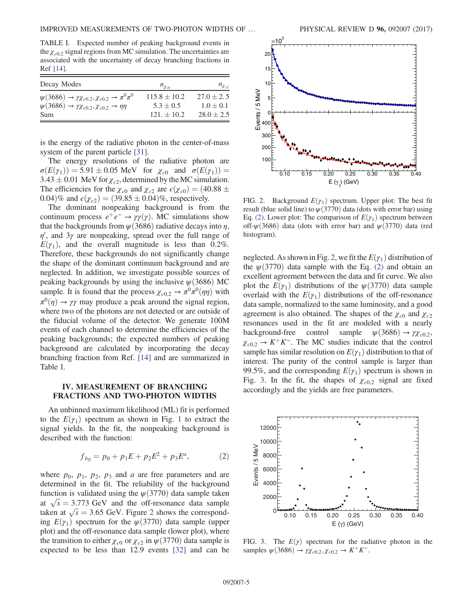<span id="page-4-0"></span>TABLE I. Expected number of peaking background events in the  $\chi_{c0}$  ignal regions from MC simulation. The uncertainties are associated with the uncertainty of decay branching fractions in Ref [\[14\].](#page-10-9)

| Decay Modes                                                                    | $n_{\chi_{c0}}$  | $n_{\chi_{c2}}$ |
|--------------------------------------------------------------------------------|------------------|-----------------|
| $\psi(3686) \to \gamma \chi_{c0,2}, \chi_{c0,2} \to \pi^0 \pi^0$               | $115.8 \pm 10.2$ | $27.0 \pm 2.5$  |
| $\psi(3686) \rightarrow \gamma \chi_{c0,2}, \chi_{c0,2} \rightarrow \eta \eta$ | $5.3 + 0.5$      | $1.0 + 0.1$     |
| Sum                                                                            | $121 + 10.2$     | $28.0 \pm 2.5$  |

is the energy of the radiative photon in the center-of-mass system of the parent particle [\[31\]](#page-10-26).

The energy resolutions of the radiative photon are  $\sigma(E(\gamma_1)) = 5.91 \pm 0.05 \text{ MeV} \text{ for } \chi_{c0} \text{ and } \sigma(E(\gamma_1)) =$  $3.43 \pm 0.01$  MeV for  $\chi_{c2}$ , determined by the MC simulation. The efficiencies for the  $\chi_{c0}$  and  $\chi_{c2}$  are  $\epsilon(\chi_{c0}) = (40.88 \pm 0.88)$ 0.04)% and  $\epsilon(\chi_{c2}) = (39.85 \pm 0.04)\%$ , respectively.

The dominant nonpeaking background is from the continuum process  $e^+e^- \rightarrow \gamma \gamma(\gamma)$ . MC simulations show that the backgrounds from  $\psi$ (3686) radiative decays into  $\eta$ ,  $\eta'$ , and  $3\gamma$  are nonpeaking, spread over the full range of  $E(\gamma_1)$ , and the overall magnitude is less than 0.2%. Therefore, these backgrounds do not significantly change the shape of the dominant continuum background and are neglected. In addition, we investigate possible sources of peaking backgrounds by using the inclusive  $\psi$ (3686) MC sample. It is found that the process  $\chi_{c0,2} \to \pi^0 \pi^0 (\eta \eta)$  with  $\pi^{0}(\eta) \rightarrow \gamma \gamma$  may produce a peak around the signal region, where two of the photons are not detected or are outside of the fiducial volume of the detector. We generate 100M events of each channel to determine the efficiencies of the peaking backgrounds; the expected numbers of peaking background are calculated by incorporating the decay branching fraction from Ref. [\[14\]](#page-10-9) and are summarized in Table [I.](#page-4-0)

# IV. MEASUREMENT OF BRANCHING FRACTIONS AND TWO-PHOTON WIDTHS

<span id="page-4-2"></span>An unbinned maximum likelihood (ML) fit is performed to the  $E(\gamma_1)$  $E(\gamma_1)$  $E(\gamma_1)$  spectrum as shown in Fig. 1 to extract the signal yields. In the fit, the nonpeaking background is described with the function:

$$
f_{bg} = p_0 + p_1 E + p_2 E^2 + p_3 E^a, \tag{2}
$$

where  $p_0$ ,  $p_1$ ,  $p_2$ ,  $p_3$  and a are free parameters and are determined in the fit. The reliability of the background function is validated using the  $\psi$ (3770) data sample taken at  $\sqrt{s} = 3.773$  GeV and the off-resonance data sample taken at  $\sqrt{s}$  = 3.65 GeV. Figure [2](#page-4-1) shows the corresponding  $E(\gamma_1)$  spectrum for the  $\psi$ (3770) data sample (upper plot) and the off-resonance data sample (lower plot), where the transition to either  $\chi_{c0}$  or  $\chi_{c2}$  in  $\psi(3770)$  data sample is expected to be less than 12.9 events [\[32\]](#page-10-27) and can be

<span id="page-4-1"></span>

FIG. 2. Background  $E(\gamma_1)$  spectrum. Upper plot: The best fit result (blue solid line) to  $\psi(3770)$  data (dots with error bar) using Eq. [\(2\)](#page-4-2). Lower plot: The comparison of  $E(\gamma_1)$  spectrum between off- $\psi$ (3686) data (dots with error bar) and  $\psi$ (3770) data (red histogram).

neglected. As shown in Fig. [2,](#page-4-1) we fit the  $E(\gamma_1)$  distribution of the  $\psi(3770)$  data sample with the Eq. [\(2\)](#page-4-2) and obtain an excellent agreement between the data and fit curve. We also plot the  $E(\gamma_1)$  distributions of the  $\psi(3770)$  data sample overlaid with the  $E(\gamma_1)$  distributions of the off-resonance data sample, normalized to the same luminosity, and a good agreement is also obtained. The shapes of the  $\chi_{c0}$  and  $\chi_{c2}$ resonances used in the fit are modeled with a nearly background-free control sample  $\psi$ (3686)  $\rightarrow \gamma \chi_{c0,2}$ ,  $\chi_{c0,2} \to K^+K^-$ . The MC studies indicate that the control sample has similar resolution on  $E(\gamma_1)$  distribution to that of interest. The purity of the control sample is larger than 99.5%, and the corresponding  $E(\gamma_1)$  spectrum is shown in Fig. [3](#page-4-3). In the fit, the shapes of  $\chi_{c0,2}$  signal are fixed accordingly and the yields are free parameters.

<span id="page-4-3"></span>

FIG. 3. The  $E(\gamma)$  spectrum for the radiative photon in the samples  $\psi$ (3686) →  $\gamma \chi_{c0,2}, \chi_{c0,2} \to K^+ K^-$ .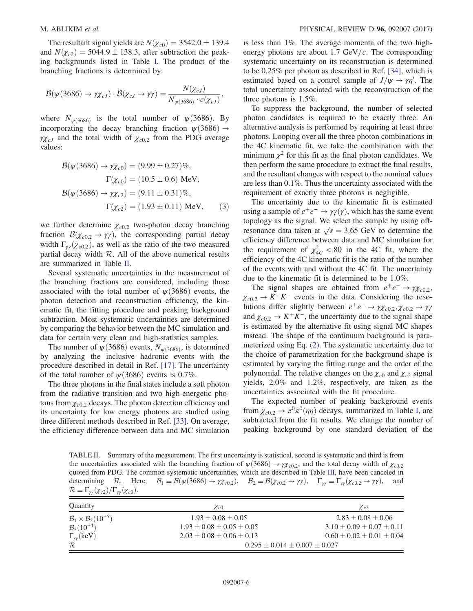The resultant signal yields are  $N(\chi_{c0}) = 3542.0 \pm 139.4$ and  $N(\chi_{c2}) = 5044.9 \pm 138.3$ , after subtraction the peaking backgrounds listed in Table [I](#page-4-0). The product of the branching fractions is determined by:

$$
\mathcal{B}(\psi(3686) \to \gamma \chi_{cJ}) \cdot \mathcal{B}(\chi_{cJ} \to \gamma \gamma) = \frac{N(\chi_{cJ})}{N_{\psi(3686)} \cdot \epsilon(\chi_{cJ})},
$$

where  $N_{\psi(3686)}$  is the total number of  $\psi(3686)$ . By incorporating the decay branching fraction  $\psi(3686) \rightarrow$  $\gamma \chi_{cJ}$  and the total width of  $\chi_{c0,2}$  from the PDG average values:

$$
\mathcal{B}(\psi(3686) \to \gamma \chi_{c0}) = (9.99 \pm 0.27)\%,
$$
  
\n
$$
\Gamma(\chi_{c0}) = (10.5 \pm 0.6) \text{ MeV},
$$
  
\n
$$
\mathcal{B}(\psi(3686) \to \gamma \chi_{c2}) = (9.11 \pm 0.31)\%,
$$
  
\n
$$
\Gamma(\chi_{c2}) = (1.93 \pm 0.11) \text{ MeV}, \qquad (3)
$$

we further determine  $\chi_{c0,2}$  two-photon decay branching fraction  $\mathcal{B}(\chi_{c0,2} \to \gamma \gamma)$ , the corresponding partial decay width  $\Gamma_{\gamma\gamma}(\chi_{c0,2})$ , as well as the ratio of the two measured partial decay width  $R$ . All of the above numerical results are summarized in Table [II.](#page-5-0)

Several systematic uncertainties in the measurement of the branching fractions are considered, including those associated with the total number of  $\psi$ (3686) events, the photon detection and reconstruction efficiency, the kinematic fit, the fitting procedure and peaking background subtraction. Most systematic uncertainties are determined by comparing the behavior between the MC simulation and data for certain very clean and high-statistics samples.

The number of  $\psi$ (3686) events,  $N_{\psi$ (3686), is determined by analyzing the inclusive hadronic events with the procedure described in detail in Ref. [\[17\].](#page-10-13) The uncertainty of the total number of  $\psi$ (3686) events is 0.7%.

The three photons in the final states include a soft photon from the radiative transition and two high-energetic photons from  $\chi_{c0,2}$  decays. The photon detection efficiency and its uncertainty for low energy photons are studied using three different methods described in Ref. [\[33\].](#page-10-28) On average, the efficiency difference between data and MC simulation is less than 1%. The average momenta of the two highenergy photons are about 1.7 GeV/c. The corresponding systematic uncertainty on its reconstruction is determined to be 0.25% per photon as described in Ref. [\[34\]](#page-10-29), which is estimated based on a control sample of  $J/\psi \rightarrow \gamma \eta'$ . The total uncertainty associated with the reconstruction of the three photons is 1.5%.

To suppress the background, the number of selected photon candidates is required to be exactly three. An alternative analysis is performed by requiring at least three photons. Looping over all the three photon combinations in the 4C kinematic fit, we take the combination with the minimum  $\chi^2$  for this fit as the final photon candidates. We then perform the same procedure to extract the final results, and the resultant changes with respect to the nominal values are less than 0.1%. Thus the uncertainty associated with the requirement of exactly three photons is negligible.

The uncertainty due to the kinematic fit is estimated using a sample of  $e^+e^- \rightarrow \gamma\gamma(\gamma)$ , which has the same event topology as the signal. We select the sample by using offresonance data taken at  $\sqrt{s}$  = 3.65 GeV to determine the efficiency difference between data and MC simulation for the requirement of  $\chi^2_{4C} < 80$  in the 4C fit, where the efficiency of the 4C kinematic fit is the ratio of the number of the events with and without the 4C fit. The uncertainty due to the kinematic fit is determined to be 1.0%.

The signal shapes are obtained from  $e^+e^- \rightarrow \gamma \chi_{c0,2}$ ,  $\chi_{c0,2} \to K^+K^-$  events in the data. Considering the resolutions differ slightly between  $e^+e^- \rightarrow \gamma \chi_{c0,2}, \chi_{c0,2} \rightarrow \gamma \gamma$ and  $\chi_{c0,2} \rightarrow K^+K^-$ , the uncertainty due to the signal shape is estimated by the alternative fit using signal MC shapes instead. The shape of the continuum background is parameterized using Eq. [\(2\)](#page-4-2). The systematic uncertainty due to the choice of parametrization for the background shape is estimated by varying the fitting range and the order of the polynomial. The relative changes on the  $\chi_{c0}$  and  $\chi_{c2}$  signal yields, 2.0% and 1.2%, respectively, are taken as the uncertainties associated with the fit procedure.

The expected number of peaking background events from  $\chi_{c0,2} \to \pi^0 \pi^0 (\eta \eta)$  decays, summarized in Table [I,](#page-4-0) are subtracted from the fit results. We change the number of peaking background by one standard deviation of the

<span id="page-5-0"></span>TABLE II. Summary of the measurement. The first uncertainty is statistical, second is systematic and third is from the uncertainties associated with the branching fraction of  $\psi(3686) \rightarrow \gamma \chi_{c0,2}$ , and the total decay width of  $\chi_{c0,2}$ quoted from PDG. The common systematic uncertainties, which are described in Table [III](#page-6-2), have been canceled in determining R. Here,  $B_1 \equiv B(\psi(3686) \to \gamma \chi_{c0,2}), \quad B_2 \equiv B(\chi_{c0,2} \to \gamma \gamma), \quad \Gamma_{\gamma \gamma} \equiv \Gamma_{\gamma \gamma} (\chi_{c0,2} \to \gamma \gamma),$  and  $\mathcal{R} \equiv \Gamma_{\gamma\gamma}(\chi_{c2})/\Gamma_{\gamma\gamma}(\chi_{c0}).$ 

| Quantity                      | $\chi_{c0}$                       | $\chi_{c2}$                           |  |  |
|-------------------------------|-----------------------------------|---------------------------------------|--|--|
| $B_1 \times B_2(10^{-5})$     | $1.93 \pm 0.08 \pm 0.05$          | $2.83 \pm 0.08 \pm 0.06$              |  |  |
| $B_2(10^{-4})$                | $1.93 \pm 0.08 \pm 0.05 \pm 0.05$ | $3.10 + 0.09 + 0.07 + 0.11$           |  |  |
| $\Gamma_{\gamma\gamma}$ (keV) | $2.03 \pm 0.08 \pm 0.06 \pm 0.13$ | $0.60 + 0.02 + 0.01 + 0.04$           |  |  |
| $\mathcal R$                  |                                   | $0.295 \pm 0.014 \pm 0.007 \pm 0.027$ |  |  |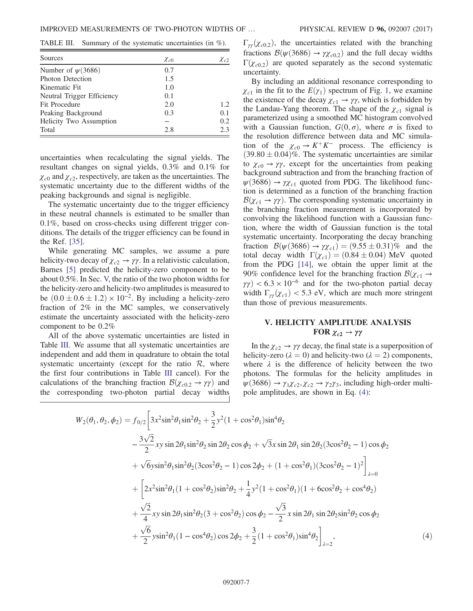<span id="page-6-2"></span>TABLE III. Summary of the systematic uncertainties (in %).

| Sources                    | $\chi_{c0}$ | $\chi_{c2}$ |
|----------------------------|-------------|-------------|
| Number of $\psi(3686)$     | 0.7         |             |
| Photon Detection           | 1.5         |             |
| Kinematic Fit              | 1.0         |             |
| Neutral Trigger Efficiency | 0.1         |             |
| Fit Procedure              | 2.0         | 1.2.        |
| Peaking Background         | 0.3         | 0.1         |
| Helicity Two Assumption    |             | 0.2         |
| Total                      | 2.8         | 2.3         |

uncertainties when recalculating the signal yields. The resultant changes on signal yields, 0.3% and 0.1% for  $\chi_{c0}$  and  $\chi_{c2}$ , respectively, are taken as the uncertainties. The systematic uncertainty due to the different widths of the peaking backgrounds and signal is negligible.

The systematic uncertainty due to the trigger efficiency in these neutral channels is estimated to be smaller than 0.1%, based on cross-checks using different trigger conditions. The details of the trigger efficiency can be found in the Ref. [\[35\].](#page-10-30)

While generating MC samples, we assume a pure helicity-two decay of  $\chi_{c2} \to \gamma \gamma$ . In a relativistic calculation, Barnes [\[5\]](#page-10-11) predicted the helicity-zero component to be about 0.5%. In Sec. [V,](#page-6-1) the ratio of the two photon widths for the helicity-zero and helicity-two amplitudes is measured to be  $(0.0 \pm 0.6 \pm 1.2) \times 10^{-2}$ . By including a helicity-zero fraction of 2% in the MC samples, we conservatively estimate the uncertainty associated with the helicity-zero component to be 0.2%

All of the above systematic uncertainties are listed in Table [III.](#page-6-2) We assume that all systematic uncertainties are independent and add them in quadrature to obtain the total systematic uncertainty (except for the ratio  $\mathcal{R}$ , where the first four contributions in Table [III](#page-6-2) cancel). For the calculations of the branching fraction  $\mathcal{B}(\chi_{c0,2} \to \gamma \gamma)$  and the corresponding two-photon partial decay widths  $\Gamma_{\gamma\gamma}(\chi_{c0,2})$ , the uncertainties related with the branching fractions  $\mathcal{B}(\psi(3686) \to \gamma \chi_{c0,2})$  and the full decay widths  $\Gamma(\chi_{c0,2})$  are quoted separately as the second systematic uncertainty.

By including an additional resonance corresponding to  $\chi_{c1}$  in the fit to the  $E(\gamma_1)$  spectrum of Fig. [1,](#page-3-0) we examine the existence of the decay  $\chi_{c1} \rightarrow \gamma \gamma$ , which is forbidden by the Landau-Yang theorem. The shape of the  $\chi_{c1}$  signal is parameterized using a smoothed MC histogram convolved with a Gaussian function,  $G(0, \sigma)$ , where  $\sigma$  is fixed to the resolution difference between data and MC simulation of the  $\chi_{c0} \to K^+K^-$  process. The efficiency is  $(39.80 \pm 0.04)\%$ . The systematic uncertainties are similar to  $\chi_{c0} \rightarrow \gamma \gamma$ , except for the uncertainties from peaking background subtraction and from the branching fraction of  $\psi$ (3686)  $\rightarrow \gamma \chi_{c1}$  quoted from PDG. The likelihood function is determined as a function of the branching fraction  $B(\chi_{c1} \to \gamma \gamma)$ . The corresponding systematic uncertainty in the branching fraction measurement is incorporated by convolving the likelihood function with a Gaussian function, where the width of Gaussian function is the total systematic uncertainty. Incorporating the decay branching fraction  $\mathcal{B}(\psi(3686) \rightarrow \gamma \chi_{c1}) = (9.55 \pm 0.31)\%$  and the total decay width  $\Gamma(\chi_{c1}) = (0.84 \pm 0.04)$  MeV quoted from the PDG [\[14\]](#page-10-9), we obtain the upper limit at the 90% confidence level for the branching fraction  $\mathcal{B}(\chi_{c1} \to$  $\gamma\gamma$  < 6.3 × 10<sup>-6</sup> and for the two-photon partial decay width  $\Gamma_{\gamma \gamma}(\chi_{c1})$  < 5.3 eV, which are much more stringent than those of previous measurements.

# <span id="page-6-1"></span>V. HELICITY AMPLITUDE ANALYSIS FOR  $\chi_{c2} \to \gamma \gamma$

<span id="page-6-0"></span>In the  $\chi_{c2} \rightarrow \gamma \gamma$  decay, the final state is a superposition of helicity-zero ( $\lambda = 0$ ) and helicity-two ( $\lambda = 2$ ) components, where  $\lambda$  is the difference of helicity between the two photons. The formulas for the helicity amplitudes in  $\psi$ (3686)  $\rightarrow \gamma_1 \chi_{c2}, \chi_{c2} \rightarrow \gamma_2 \gamma_3$ , including high-order multipole amplitudes, are shown in Eq. [\(4\)](#page-6-0):

$$
W_{2}(\theta_{1}, \theta_{2}, \phi_{2}) = f_{0/2} \left[ 3x^{2} \sin^{2} \theta_{1} \sin^{2} \theta_{2} + \frac{3}{2} y^{2} (1 + \cos^{2} \theta_{1}) \sin^{4} \theta_{2} \right.
$$
  
\n
$$
- \frac{3\sqrt{2}}{2} xy \sin 2 \theta_{1} \sin^{2} \theta_{2} \sin 2 \theta_{2} \cos \phi_{2} + \sqrt{3} x \sin 2 \theta_{1} \sin 2 \theta_{2} (3 \cos^{2} \theta_{2} - 1) \cos \phi_{2}
$$
  
\n
$$
+ \sqrt{6} y \sin^{2} \theta_{1} \sin^{2} \theta_{2} (3 \cos^{2} \theta_{2} - 1) \cos 2 \phi_{2} + (1 + \cos^{2} \theta_{1}) (3 \cos^{2} \theta_{2} - 1)^{2} \right]_{\lambda=0}
$$
  
\n
$$
+ \left[ 2x^{2} \sin^{2} \theta_{1} (1 + \cos^{2} \theta_{2}) \sin^{2} \theta_{2} + \frac{1}{4} y^{2} (1 + \cos^{2} \theta_{1}) (1 + 6 \cos^{2} \theta_{2} + \cos^{4} \theta_{2}) + \frac{\sqrt{2}}{4} xy \sin 2 \theta_{1} \sin^{2} \theta_{2} (3 + \cos^{2} \theta_{2}) \cos \phi_{2} - \frac{\sqrt{3}}{2} x \sin 2 \theta_{1} \sin 2 \theta_{2} \sin^{2} \theta_{2} \cos \phi_{2}
$$
  
\n
$$
+ \frac{\sqrt{6}}{2} y \sin^{2} \theta_{1} (1 - \cos^{4} \theta_{2}) \cos 2 \phi_{2} + \frac{3}{2} (1 + \cos^{2} \theta_{1}) \sin^{4} \theta_{2} \right]_{\lambda=2},
$$
  
\n(4)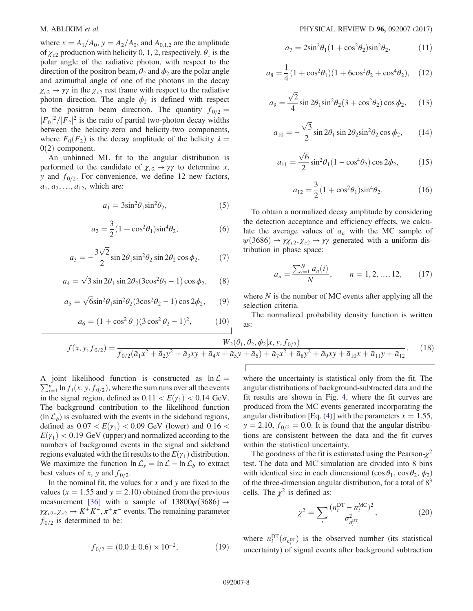where  $x = A_1/A_0$ ,  $y = A_2/A_0$ , and  $A_{0,1,2}$  are the amplitude of  $\chi_{c2}$  production with helicity 0, 1, 2, respectively.  $\theta_1$  is the polar angle of the radiative photon, with respect to the direction of the positron beam,  $\theta_2$  and  $\phi_2$  are the polar angle and azimuthal angle of one of the photons in the decay  $\chi_{c2} \rightarrow \gamma \gamma$  in the  $\chi_{c2}$  rest frame with respect to the radiative photon direction. The angle  $\phi_2$  is defined with respect to the positron beam direction. The quantity  $f_{0/2}$  =  $|F_0|^2/|F_2|^2$  is the ratio of partial two-photon decay widths between the helicity-zero and helicity-two components, where  $F_0(F_2)$  is the decay amplitude of the helicity  $\lambda =$  $0(2)$  component.

An unbinned ML fit to the angular distribution is performed to the candidate of  $\chi_{c2} \to \gamma \gamma$  to determine x, y and  $f_{0/2}$ . For convenience, we define 12 new factors,  $a_1, a_2, ..., a_{12}$ , which are:

$$
a_1 = 3\sin^2\theta_1 \sin^2\theta_2, \tag{5}
$$

$$
a_2 = \frac{3}{2}(1 + \cos^2 \theta_1)\sin^4 \theta_2, \tag{6}
$$

$$
a_3 = -\frac{3\sqrt{2}}{2}\sin 2\theta_1 \sin^2 \theta_2 \sin 2\theta_2 \cos \phi_2, \tag{7}
$$

$$
a_4 = \sqrt{3}\sin 2\theta_1 \sin 2\theta_2 (3\cos^2 \theta_2 - 1)\cos \phi_2, \quad (8)
$$

$$
a_5 = \sqrt{6}\sin^2\theta_1 \sin^2\theta_2 (3\cos^2\theta_2 - 1)\cos 2\phi_2, \qquad (9)
$$

$$
a_6 = (1 + \cos^2 \theta_1)(3 \cos^2 \theta_2 - 1)^2, \tag{10}
$$

$$
a_7 = 2\sin^2\theta_1(1+\cos^2\theta_2)\sin^2\theta_2,\tag{11}
$$

$$
a_8 = \frac{1}{4}(1 + \cos^2\theta_1)(1 + 6\cos^2\theta_2 + \cos^4\theta_2), \quad (12)
$$

$$
a_9 = \frac{\sqrt{2}}{4}\sin 2\theta_1 \sin^2 \theta_2 (3 + \cos^2 \theta_2) \cos \phi_2, \quad (13)
$$

$$
a_{10} = -\frac{\sqrt{3}}{2}\sin 2\theta_1 \sin 2\theta_2 \sin^2 \theta_2 \cos \phi_2, \qquad (14)
$$

$$
a_{11} = \frac{\sqrt{6}}{2}\sin^2\theta_1(1 - \cos^4\theta_2)\cos 2\phi_2, \qquad (15)
$$

$$
a_{12} = \frac{3}{2} (1 + \cos^2 \theta_1) \sin^4 \theta_2.
$$
 (16)

To obtain a normalized decay amplitude by considering the detection acceptance and efficiency effects, we calculate the average values of  $a_n$  with the MC sample of  $\psi$ (3686)  $\rightarrow \gamma \chi_{c2}, \chi_{c2} \rightarrow \gamma \gamma$  generated with a uniform distribution in phase space:

$$
\bar{a}_n = \frac{\sum_{i=1}^{N} a_n(i)}{N}, \qquad n = 1, 2, ..., 12,
$$
 (17)

where  $N$  is the number of MC events after applying all the selection criteria.

The normalized probability density function is written as:

$$
f(x, y, f_{0/2}) = \frac{W_2(\theta_1, \theta_2, \phi_2 | x, y, f_{0/2})}{f_{0/2}(\bar{a}_1 x^2 + \bar{a}_2 y^2 + \bar{a}_3 xy + \bar{a}_4 x + \bar{a}_5 y + \bar{a}_6) + \bar{a}_7 x^2 + \bar{a}_8 y^2 + \bar{a}_9 xy + \bar{a}_{10} x + \bar{a}_{11} y + \bar{a}_{12}}.
$$
 (18)

A joint likelihood function is constructed as  $\ln \mathcal{L} =$ <br> $\sum_{n=1}^{n} \ln f_n(x, y, f_{\text{max}})$  where the sum runs over all the events  $\sum_{i=1}^{n} \ln f_i(x, y, f_{0/2})$ , where the sum runs over all the events in the signal region, defined as  $0.11 < E(\gamma_1) < 0.14$  GeV. The background contribution to the likelihood function  $(\ln \mathcal{L}_b)$  is evaluated with the events in the sideband regions, defined as  $0.07 < E(\gamma_1) < 0.09$  GeV (lower) and  $0.16 <$  $E(\gamma_1)$  < 0.19 GeV (upper) and normalized according to the numbers of background events in the signal and sideband regions evaluated with the fit results to the  $E(\gamma_1)$  distribution. We maximize the function  $\ln \mathcal{L}_s = \ln \mathcal{L} - \ln \mathcal{L}_b$  to extract best values of x, y and  $f_{0/2}$ .

In the nominal fit, the values for  $x$  and  $y$  are fixed to the values ( $x = 1.55$  and  $y = 2.10$ ) obtained from the previous measurement [\[36\]](#page-10-31) with a sample of  $13800\psi(3686) \rightarrow$  $\gamma \chi_{c2}, \chi_{c2} \to K^+ K^-$ ,  $\pi^+ \pi^-$  events. The remaining parameter  $f_{0/2}$  is determined to be:

$$
f_{0/2} = (0.0 \pm 0.6) \times 10^{-2}, \tag{19}
$$

where the uncertainty is statistical only from the fit. The angular distributions of background-subtracted data and the fit results are shown in Fig. [4,](#page-8-0) where the fit curves are produced from the MC events generated incorporating the angular distribution [Eq. [\(4\)\]](#page-6-0) with the parameters  $x = 1.55$ ,  $y = 2.10$ ,  $f_{0/2} = 0.0$ . It is found that the angular distributions are consistent between the data and the fit curves within the statistical uncertainty.

The goodness of the fit is estimated using the Pearson- $\chi^2$ test. The data and MC simulation are divided into 8 bins with identical size in each dimensional  $(\cos \theta_1, \cos \theta_2, \phi_2)$ of the three-dimension angular distribution, for a total of 8<sup>3</sup> cells. The  $\chi^2$  is defined as:

$$
\chi^2 = \sum_{i} \frac{(n_i^{\text{DT}} - n_i^{\text{MC}})^2}{\sigma_{n_i^{\text{DT}}}^2},
$$
 (20)

where  $n_i^{\text{DT}}(\sigma_{n_i^{\text{DT}}})$  is the observed number (its statistical uncertainty) of signal events after background subtraction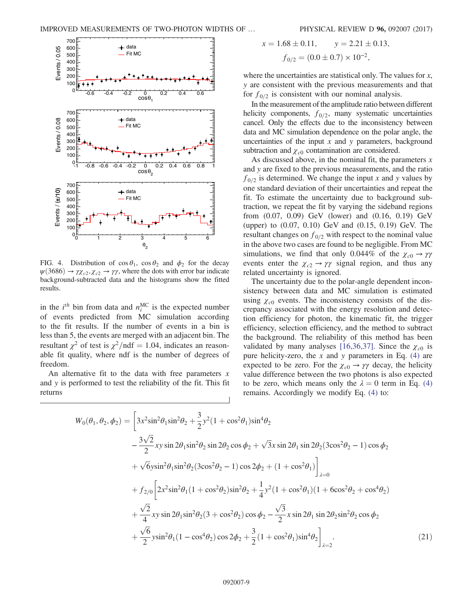<span id="page-8-0"></span>

FIG. 4. Distribution of  $\cos \theta_1$ ,  $\cos \theta_2$  and  $\phi_2$  for the decay  $\psi$ (3686)  $\rightarrow \gamma \chi_{c2}, \chi_{c2} \rightarrow \gamma \gamma$ , where the dots with error bar indicate background-subtracted data and the histograms show the fitted results.

in the  $i^{th}$  bin from data and  $n_i^{MC}$  is the expected number of events predicted from MC simulation according to the fit results. If the number of events in a bin is less than 5, the events are merged with an adjacent bin. The resultant  $\chi^2$  of test is  $\chi^2$ /ndf = 1.04, indicates an reasonable fit quality, where ndf is the number of degrees of freedom.

An alternative fit to the data with free parameters  $x$ and y is performed to test the reliability of the fit. This fit returns

$$
x = 1.68 \pm 0.11,
$$
  $y = 2.21 \pm 0.13,$   
 $f_{0/2} = (0.0 \pm 0.7) \times 10^{-2},$ 

where the uncertainties are statistical only. The values for x, y are consistent with the previous measurements and that for  $f_{0/2}$  is consistent with our nominal analysis.

In the measurement of the amplitude ratio between different helicity components,  $f_{0/2}$ , many systematic uncertainties cancel. Only the effects due to the inconsistency between data and MC simulation dependence on the polar angle, the uncertainties of the input  $x$  and  $y$  parameters, background subtraction and  $\chi_{c0}$  contamination are considered.

As discussed above, in the nominal fit, the parameters  $x$ and y are fixed to the previous measurements, and the ratio  $f_{0/2}$  is determined. We change the input x and y values by one standard deviation of their uncertainties and repeat the fit. To estimate the uncertainty due to background subtraction, we repeat the fit by varying the sideband regions from (0.07, 0.09) GeV (lower) and (0.16, 0.19) GeV (upper) to (0.07, 0.10) GeV and (0.15, 0.19) GeV. The resultant changes on  $f_{0/2}$  with respect to the nominal value in the above two cases are found to be negligible. From MC simulations, we find that only 0.044% of the  $\chi_{c0} \to \gamma \gamma$ events enter the  $\chi_{c2} \rightarrow \gamma \gamma$  signal region, and thus any related uncertainty is ignored.

<span id="page-8-1"></span>The uncertainty due to the polar-angle dependent inconsistency between data and MC simulation is estimated using  $\chi_{c0}$  events. The inconsistency consists of the discrepancy associated with the energy resolution and detection efficiency for photon, the kinematic fit, the trigger efficiency, selection efficiency, and the method to subtract the background. The reliability of this method has been validated by many analyses [\[16,36,37\]](#page-10-12). Since the  $\chi_{c0}$  is pure helicity-zero, the x and y parameters in Eq.  $(4)$  are expected to be zero. For the  $\chi_{c0} \to \gamma \gamma$  decay, the helicity value difference between the two photons is also expected to be zero, which means only the  $\lambda = 0$  term in Eq. [\(4\)](#page-6-0) remains. Accordingly we modify Eq. [\(4\)](#page-6-0) to:

$$
W_0(\theta_1, \theta_2, \phi_2) = \left[ 3x^2 \sin^2 \theta_1 \sin^2 \theta_2 + \frac{3}{2} y^2 (1 + \cos^2 \theta_1) \sin^4 \theta_2 \right.- \frac{3\sqrt{2}}{2} xy \sin 2\theta_1 \sin^2 \theta_2 \sin 2\theta_2 \cos \phi_2 + \sqrt{3} x \sin 2\theta_1 \sin 2\theta_2 (3 \cos^2 \theta_2 - 1) \cos \phi_2 + \sqrt{6} y \sin^2 \theta_1 \sin^2 \theta_2 (3 \cos^2 \theta_2 - 1) \cos 2\phi_2 + (1 + \cos^2 \theta_1) \right]_{\lambda=0}+ f_{2/0} \left[ 2x^2 \sin^2 \theta_1 (1 + \cos^2 \theta_2) \sin^2 \theta_2 + \frac{1}{4} y^2 (1 + \cos^2 \theta_1) (1 + 6 \cos^2 \theta_2 + \cos^4 \theta_2) \right.+ \frac{\sqrt{2}}{4} xy \sin 2\theta_1 \sin^2 \theta_2 (3 + \cos^2 \theta_2) \cos \phi_2 - \frac{\sqrt{3}}{2} x \sin 2\theta_1 \sin 2\theta_2 \sin^2 \theta_2 \cos \phi_2 + \frac{\sqrt{6}}{2} y \sin^2 \theta_1 (1 - \cos^4 \theta_2) \cos 2\phi_2 + \frac{3}{2} (1 + \cos^2 \theta_1) \sin^4 \theta_2 \right]_{\lambda=2}.
$$
(21)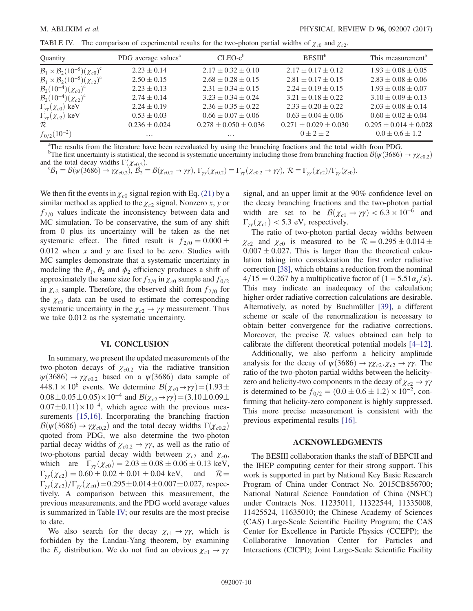<span id="page-9-0"></span>TABLE IV. The comparison of experimental results for the two-photon partial widths of  $\chi_{c0}$  and  $\chi_{c2}$ .

| Quantity                                 | PDG average values <sup>a</sup> | $CLEO-c^b$                  | <b>BESIII</b> <sup>b</sup>  | This measurement <sup>b</sup> |
|------------------------------------------|---------------------------------|-----------------------------|-----------------------------|-------------------------------|
| $B_1 \times B_2(10^{-5}) (\chi_{c0})^c$  | $2.23 \pm 0.14$                 | $2.17 \pm 0.32 \pm 0.10$    | $2.17 \pm 0.17 \pm 0.12$    | $1.93 \pm 0.08 \pm 0.05$      |
| $B_1 \times B_2 (10^{-5}) (\chi_{c2})^c$ | $2.50 \pm 0.15$                 | $2.68 \pm 0.28 \pm 0.15$    | $2.81 \pm 0.17 \pm 0.15$    | $2.83 \pm 0.08 \pm 0.06$      |
| $B_2(10^{-4}) (\chi_{c0})^c$             | $2.23 \pm 0.13$                 | $2.31 \pm 0.34 \pm 0.15$    | $2.24 \pm 0.19 \pm 0.15$    | $1.93 \pm 0.08 \pm 0.07$      |
| $B_2(10^{-4}) (\chi_{c2})^c$             | $2.74 \pm 0.14$                 | $3.23 \pm 0.34 \pm 0.24$    | $3.21 \pm 0.18 \pm 0.22$    | $3.10 \pm 0.09 \pm 0.13$      |
| $\Gamma_{\gamma\gamma}(\chi_{c0})$ keV   | $2.24 \pm 0.19$                 | $2.36 \pm 0.35 \pm 0.22$    | $2.33 + 0.20 + 0.22$        | $2.03 + 0.08 + 0.14$          |
| $\Gamma_{\gamma\gamma}(\chi_{c2})$ keV   | $0.53 \pm 0.03$                 | $0.66 \pm 0.07 \pm 0.06$    | $0.63 \pm 0.04 \pm 0.06$    | $0.60 \pm 0.02 \pm 0.04$      |
| $\mathcal R$                             | $0.236 \pm 0.024$               | $0.278 \pm 0.050 \pm 0.036$ | $0.271 \pm 0.029 \pm 0.030$ | $0.295 \pm 0.014 \pm 0.028$   |
| $f_{0/2}(10^{-2})$                       | $\cdots$                        | $\cdot \cdot \cdot$         | $0 + 2 + 2$                 | $0.0 \pm 0.6 \pm 1.2$         |

<sup>a</sup>The results from the literature have been reevaluated by using the branching fractions and the total width from PDG.

<sup>b</sup>The first uncertainty is statistical, the second is systematic uncertainty including those from branching fraction  $\mathcal{B}(\psi(3686) \to \gamma \chi_{c0,2})$ and the total decay widths  $\Gamma(\chi_{c0,2})$ .

 $\mathcal{B}_1 \equiv \mathcal{B}(\psi(3686) \to \gamma \chi_{c0,2}), \mathcal{B}_2 \equiv \mathcal{B}(\chi_{c0,2} \to \gamma \gamma), \Gamma_{\gamma \gamma}(\chi_{c0,2}) \equiv \Gamma_{\gamma \gamma}(\chi_{c0,2} \to \gamma \gamma), \mathcal{R} \equiv \Gamma_{\gamma \gamma}(\chi_{c2})/\Gamma_{\gamma \gamma}(\chi_{c0}).$ 

We then fit the events in  $\chi_{c0}$  signal region with Eq. [\(21\)](#page-8-1) by a similar method as applied to the  $\chi_{c2}$  signal. Nonzero x, y or  $f_{2/0}$  values indicate the inconsistency between data and MC simulation. To be conservative, the sum of any shift from 0 plus its uncertainty will be taken as the net systematic effect. The fitted result is  $f_{2/0}=0.000 \pm$ 0.012 when  $x$  and  $y$  are fixed to be zero. Studies with MC samples demonstrate that a systematic uncertainty in modeling the  $\theta_1$ ,  $\theta_2$  and  $\phi_2$  efficiency produces a shift of approximately the same size for  $f_{2/0}$  in  $\chi_{c0}$  sample and  $f_{0/2}$ in  $\chi_{c2}$  sample. Therefore, the observed shift from  $f_{2/0}$  for the  $\chi_{c0}$  data can be used to estimate the corresponding systematic uncertainty in the  $\chi_{c2} \to \gamma \gamma$  measurement. Thus we take 0.012 as the systematic uncertainty.

### VI. CONCLUSION

In summary, we present the updated measurements of the two-photon decays of  $\chi_{c0,2}$  via the radiative transition  $\psi$ (3686)  $\rightarrow \gamma \chi_{c0,2}$  based on a  $\psi$ (3686) data sample of 448.1 × 10<sup>6</sup> events. We determine  $\mathcal{B}(\chi_{c0} \to \gamma \gamma) = (1.93 \pm$  $0.08 \pm 0.05 \pm 0.05$ ) × 10<sup>-4</sup> and  $\mathcal{B}(\chi_{c2} \to \gamma \gamma) = (3.10 \pm 0.09 \pm 0.05)$  $0.07 \pm 0.11$ )×10<sup>-4</sup>, which agree with the previous mea-surements [\[15,16\].](#page-10-10) Incorporating the branching fraction  $\mathcal{B}(\psi(3686) \to \gamma \chi_{c0,2})$  and the total decay widths  $\Gamma(\chi_{c0,2})$ quoted from PDG, we also determine the two-photon partial decay widths of  $\chi_{c0,2} \to \gamma \gamma$ , as well as the ratio of two-photons partial decay width between  $\chi_{c2}$  and  $\chi_{c0}$ , which are  $\Gamma_{\gamma\gamma}(\chi_{c0}) = 2.03 \pm 0.08 \pm 0.06 \pm 0.13 \text{ keV},$  $\Gamma_{\gamma\gamma}(\chi_{c2}) = 0.60 \pm 0.02 \pm 0.01 \pm 0.04 \text{ keV}, \text{ and } \mathcal{R} =$  $\Gamma_{\gamma\gamma}(\chi_{c2})/\Gamma_{\gamma\gamma}(\chi_{c0}) = 0.295 \pm 0.014 \pm 0.007 \pm 0.027$ , respectively. A comparison between this measurement, the previous measurements, and the PDG world average values is summarized in Table [IV;](#page-9-0) our results are the most precise to date.

We also search for the decay  $\chi_{c1} \rightarrow \gamma \gamma$ , which is forbidden by the Landau-Yang theorem, by examining the  $E_{\gamma}$  distribution. We do not find an obvious  $\chi_{c1} \rightarrow \gamma \gamma$  signal, and an upper limit at the 90% confidence level on the decay branching fractions and the two-photon partial width are set to be  $\mathcal{B}(\chi_{c1} \to \gamma \gamma) < 6.3 \times 10^{-6}$  and  $\Gamma_{\gamma\gamma}(\chi_{c1})$  < 5.3 eV, respectively.

The ratio of two-photon partial decay widths between  $\chi_{c2}$  and  $\chi_{c0}$  is measured to be  $\mathcal{R} = 0.295 \pm 0.014 \pm 0.014$  $0.007 \pm 0.027$ . This is larger than the theoretical calculation taking into consideration the first order radiative correction [\[38\]](#page-10-32), which obtains a reduction from the nominal  $4/15 = 0.267$  by a multiplicative factor of  $(1 - 5.51a<sub>s</sub>/\pi)$ . This may indicate an inadequacy of the calculation; higher-order radiative correction calculations are desirable. Alternatively, as noted by Buchmüller [\[39\],](#page-10-33) a different scheme or scale of the renormalization is necessary to obtain better convergence for the radiative corrections. Moreover, the precise  $R$  values obtained can help to calibrate the different theoretical potential models [4–[12\]](#page-10-2).

Additionally, we also perform a helicity amplitude analysis for the decay of  $\psi(3686) \rightarrow \gamma \chi_{c2}, \chi_{c2} \rightarrow \gamma \gamma$ . The ratio of the two-photon partial widths between the helicityzero and helicity-two components in the decay of  $\chi_{c2} \to \gamma \gamma$ is determined to be  $f_{0/2} = (0.0 \pm 0.6 \pm 1.2) \times 10^{-2}$ , confirming that helicity-zero component is highly suppressed. This more precise measurement is consistent with the previous experimental results [\[16\].](#page-10-12)

### ACKNOWLEDGMENTS

The BESIII collaboration thanks the staff of BEPCII and the IHEP computing center for their strong support. This work is supported in part by National Key Basic Research Program of China under Contract No. 2015CB856700; National Natural Science Foundation of China (NSFC) under Contracts Nos. 11235011, 11322544, 11335008, 11425524, 11635010; the Chinese Academy of Sciences (CAS) Large-Scale Scientific Facility Program; the CAS Center for Excellence in Particle Physics (CCEPP); the Collaborative Innovation Center for Particles and Interactions (CICPI); Joint Large-Scale Scientific Facility